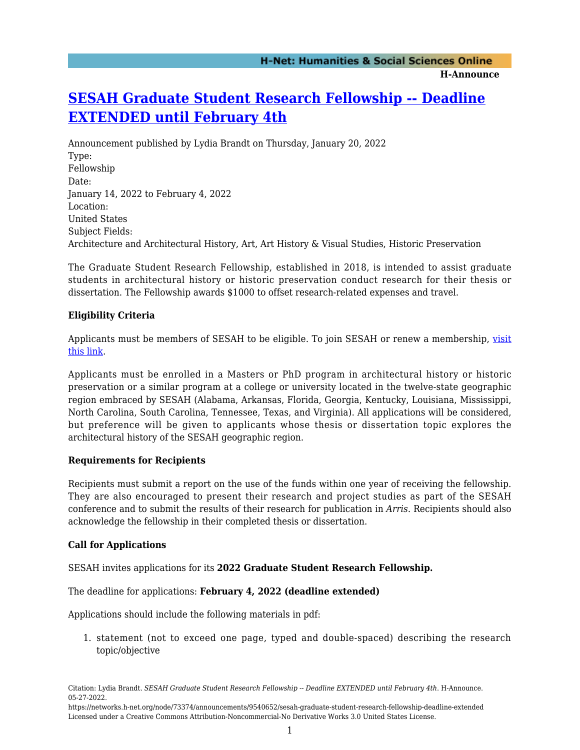# **[SESAH Graduate Student Research Fellowship -- Deadline](https://networks.h-net.org/node/73374/announcements/9540652/sesah-graduate-student-research-fellowship-deadline-extended) [EXTENDED until February 4th](https://networks.h-net.org/node/73374/announcements/9540652/sesah-graduate-student-research-fellowship-deadline-extended)**

Announcement published by Lydia Brandt on Thursday, January 20, 2022 Type: Fellowship Date: January 14, 2022 to February 4, 2022 Location: United States Subject Fields: Architecture and Architectural History, Art, Art History & Visual Studies, Historic Preservation

The Graduate Student Research Fellowship, established in 2018, is intended to assist graduate students in architectural history or historic preservation conduct research for their thesis or dissertation. The Fellowship awards \$1000 to offset research-related expenses and travel.

### **Eligibility Criteria**

Applicants must be members of SESAH to be eligible. To join SESAH or renew a membership, [visit](https://sesah.org/join-support-contact/) [this link.](https://sesah.org/join-support-contact/)

Applicants must be enrolled in a Masters or PhD program in architectural history or historic preservation or a similar program at a college or university located in the twelve-state geographic region embraced by SESAH (Alabama, Arkansas, Florida, Georgia, Kentucky, Louisiana, Mississippi, North Carolina, South Carolina, Tennessee, Texas, and Virginia). All applications will be considered, but preference will be given to applicants whose thesis or dissertation topic explores the architectural history of the SESAH geographic region.

#### **Requirements for Recipients**

Recipients must submit a report on the use of the funds within one year of receiving the fellowship. They are also encouraged to present their research and project studies as part of the SESAH conference and to submit the results of their research for publication in *Arris*. Recipients should also acknowledge the fellowship in their completed thesis or dissertation.

#### **Call for Applications**

SESAH invites applications for its **2022 Graduate Student Research Fellowship.**

The deadline for applications: **February 4, 2022 (deadline extended)**

Applications should include the following materials in pdf:

1. statement (not to exceed one page, typed and double-spaced) describing the research topic/objective

Citation: Lydia Brandt. *SESAH Graduate Student Research Fellowship -- Deadline EXTENDED until February 4th*. H-Announce. 05-27-2022.

https://networks.h-net.org/node/73374/announcements/9540652/sesah-graduate-student-research-fellowship-deadline-extended Licensed under a Creative Commons Attribution-Noncommercial-No Derivative Works 3.0 United States License.